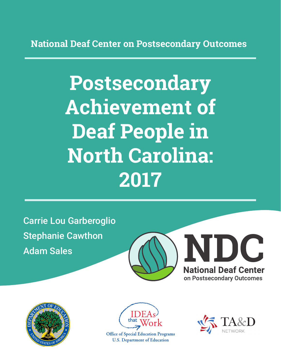**National Deaf Center on Postsecondary Outcomes**

# **Postsecondary Achievement of Deaf People in North Carolina: 2017**

Carrie Lou Garberoglio Stephanie Cawthon Adam Sales







**Office of Special Education Programs U.S. Department of Education** 

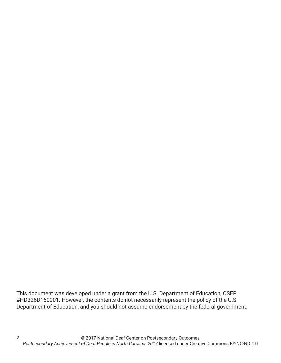This document was developed under a grant from the U.S. Department of Education, OSEP #HD326D160001. However, the contents do not necessarily represent the policy of the U.S. Department of Education, and you should not assume endorsement by the federal government.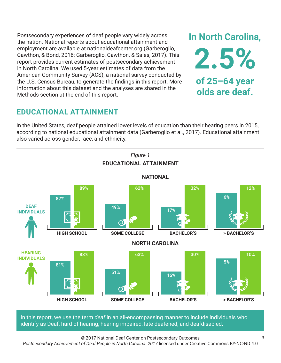Postsecondary experiences of deaf people vary widely across the nation. National reports about educational attainment and employment are available at nationaldeafcenter.org (Garberoglio, Cawthon, & Bond, 2016; Garberoglio, Cawthon, & Sales, 2017). This report provides current estimates of postsecondary achievement in North Carolina. We used 5-year estimates of data from the American Community Survey (ACS), a national survey conducted by the U.S. Census Bureau, to generate the findings in this report. More information about this dataset and the analyses are shared in the Methods section at the end of this report.

# **EDUCATIONAL ATTAINMENT**

In the United States, deaf people attained lower levels of education than their hearing peers in 2015, according to national educational attainment data (Garberoglio et al., 2017). Educational attainment also varied across gender, race, and ethnicity.



In this report, we use the term *deaf* in an all-encompassing manner to include individuals who identify as Deaf, hard of hearing, hearing impaired, late deafened, and deafdisabled.

© 2017 National Deaf Center on Postsecondary Outcomes

*Postsecondary Achievement of Deaf People in North Carolina: 2017* licensed under Creative Commons BY-NC-ND 4.0

**In North Carolina,**

**2.5%**

**of 25–64 year**

**olds are deaf.**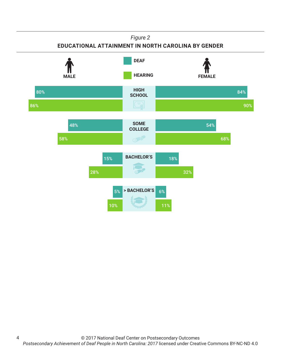#### *Figure 2*

### **EDUCATIONAL ATTAINMENT IN NORTH CAROLINA BY GENDER**



4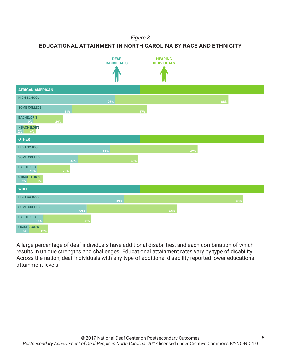*Figure 3*

**EDUCATIONAL ATTAINMENT IN NORTH CAROLINA BY RACE AND ETHNICITY**



A large percentage of deaf individuals have additional disabilities, and each combination of which results in unique strengths and challenges. Educational attainment rates vary by type of disability. Across the nation, deaf individuals with any type of additional disability reported lower educational attainment levels.

5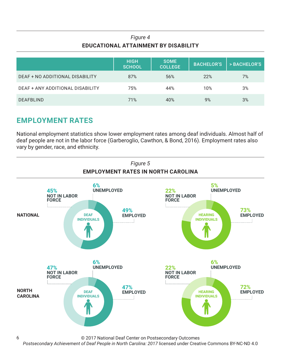## *Figure 4* **EDUCATIONAL ATTAINMENT BY DISABILITY**

|                                  | <b>HIGH</b><br><b>SCHOOL</b> | <b>SOME</b><br><b>COLLEGE</b> | <b>BACHELOR'S</b> | > BACHELOR'S |
|----------------------------------|------------------------------|-------------------------------|-------------------|--------------|
| DEAF + NO ADDITIONAL DISABILITY  | 87%                          | 56%                           | 22%               | 7%           |
| DEAF + ANY ADDITIONAL DISABILITY | 75%                          | 44%                           | 10%               | 3%           |
| <b>DEAFBLIND</b>                 | 71%                          | 40%                           | 9%                | 3%           |

# **EMPLOYMENT RATES**

6

National employment statistics show lower employment rates among deaf individuals. Almost half of deaf people are not in the labor force (Garberoglio, Cawthon, & Bond, 2016). Employment rates also vary by gender, race, and ethnicity.



© 2017 National Deaf Center on Postsecondary Outcomes

*Postsecondary Achievement of Deaf People in North Carolina: 2017* licensed under Creative Commons BY-NC-ND 4.0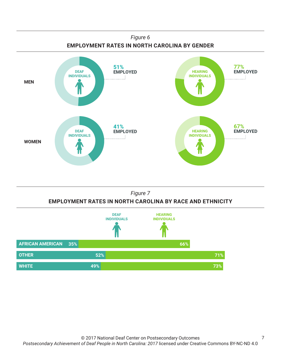



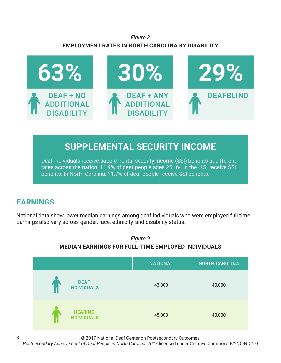## *Figure 8* **EMPLOYMENT RATES IN NORTH CAROLINA BY DISABILITY**



# **SUPPLEMENTAL SECURITY INCOME**

Deaf individuals receive supplemental security income (SSI) benefits at different rates across the nation. 11.9% of deaf people ages 25–64 in the U.S. receive SSI benefits. In North Carolina, 11.7% of deaf people receive SSI benefits.

# **EARNINGS**

8

National data show lower median earnings among deaf individuals who were employed full time. Earnings also vary across gender, race, ethnicity, and disability status.



© 2017 National Deaf Center on Postsecondary Outcomes

*Postsecondary Achievement of Deaf People in North Carolina: 2017* licensed under Creative Commons BY-NC-ND 4.0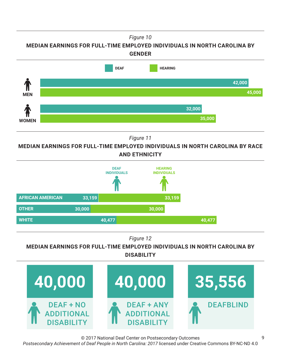*Figure 10*

**MEDIAN EARNINGS FOR FULL-TIME EMPLOYED INDIVIDUALS IN NORTH CAROLINA BY GENDER**



*Figure 11*

**MEDIAN EARNINGS FOR FULL-TIME EMPLOYED INDIVIDUALS IN NORTH CAROLINA BY RACE AND ETHNICITY**



*Figure 12*

**MEDIAN EARNINGS FOR FULL-TIME EMPLOYED INDIVIDUALS IN NORTH CAROLINA BY DISABILITY**



© 2017 National Deaf Center on Postsecondary Outcomes

*Postsecondary Achievement of Deaf People in North Carolina: 2017* licensed under Creative Commons BY-NC-ND 4.0